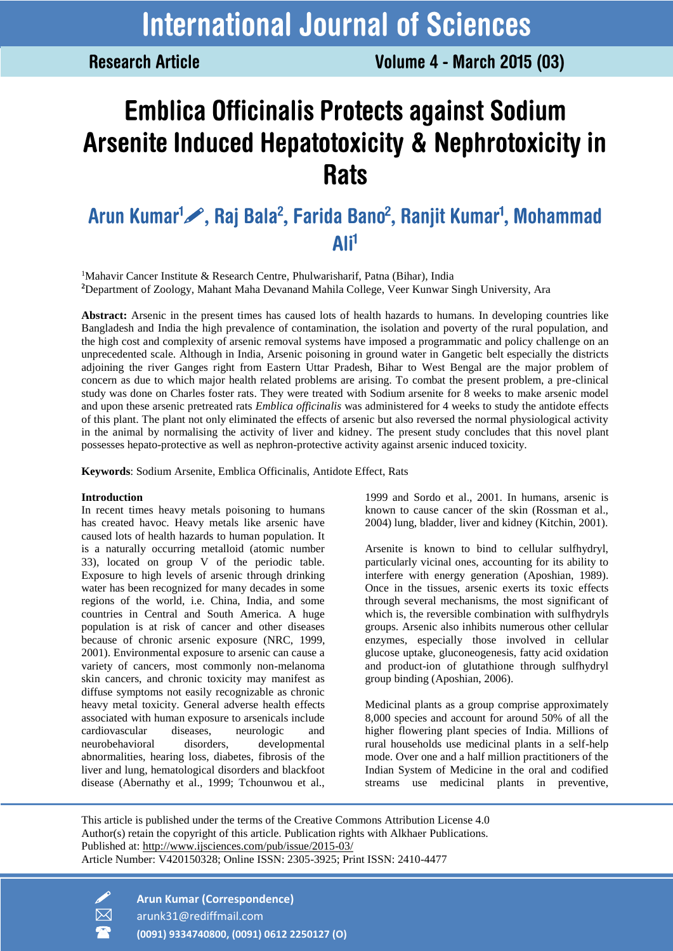**Research Article** 

# **Emblica Officinalis Protects against Sodium** Arsenite Induced Hepatotoxicity & Nephrotoxicity in **Rats**

# Arun Kumar<sup>1</sup>, Raj Bala<sup>2</sup>, Farida Bano<sup>2</sup>, Ranjit Kumar<sup>1</sup>, Mohammad Ali<sup>1</sup>

<sup>1</sup>Mahavir Cancer Institute & Research Centre, Phulwarisharif, Patna (Bihar), India **<sup>2</sup>**Department of Zoology, Mahant Maha Devanand Mahila College, Veer Kunwar Singh University, Ara

**Abstract:** Arsenic in the present times has caused lots of health hazards to humans. In developing countries like Bangladesh and India the high prevalence of contamination, the isolation and poverty of the rural population, and the high cost and complexity of arsenic removal systems have imposed a programmatic and policy challenge on an unprecedented scale. Although in India, Arsenic poisoning in ground water in Gangetic belt especially the districts adjoining the river Ganges right from Eastern Uttar Pradesh, Bihar to West Bengal are the major problem of concern as due to which major health related problems are arising. To combat the present problem, a pre-clinical study was done on Charles foster rats. They were treated with Sodium arsenite for 8 weeks to make arsenic model and upon these arsenic pretreated rats *Emblica officinalis* was administered for 4 weeks to study the antidote effects of this plant. The plant not only eliminated the effects of arsenic but also reversed the normal physiological activity in the animal by normalising the activity of liver and kidney. The present study concludes that this novel plant possesses hepato-protective as well as nephron-protective activity against arsenic induced toxicity.

**Keywords**: Sodium Arsenite, Emblica Officinalis, Antidote Effect, Rats

#### **Introduction**

In recent times heavy metals poisoning to humans has created havoc. Heavy metals like arsenic have caused lots of health hazards to human population. It is a naturally occurring metalloid (atomic number 33), located on group V of the periodic table. Exposure to high levels of arsenic through drinking water has been recognized for many decades in some regions of the world, i.e. China, India, and some countries in Central and South America. A huge population is at risk of cancer and other diseases because of chronic arsenic exposure (NRC, 1999, 2001). Environmental exposure to arsenic can cause a variety of cancers, most commonly non-melanoma skin cancers, and chronic toxicity may manifest as diffuse symptoms not easily recognizable as chronic heavy metal toxicity. General adverse health effects associated with human exposure to arsenicals include cardiovascular diseases, neurologic and neurobehavioral disorders, developmental abnormalities, hearing loss, diabetes, fibrosis of the liver and lung, hematological disorders and blackfoot disease (Abernathy et al., 1999; Tchounwou et al.,

1999 and Sordo et al., 2001. In humans, arsenic is known to cause cancer of the skin (Rossman et al., 2004) lung, bladder, liver and kidney (Kitchin, 2001).

Arsenite is known to bind to cellular sulfhydryl, particularly vicinal ones, accounting for its ability to interfere with energy generation (Aposhian, 1989). Once in the tissues, arsenic exerts its toxic effects through several mechanisms, the most significant of which is, the reversible combination with sulfhydryls groups. Arsenic also inhibits numerous other cellular enzymes, especially those involved in cellular glucose uptake, gluconeogenesis, fatty acid oxidation and product-ion of glutathione through sulfhydryl group binding (Aposhian, 2006).

Medicinal plants as a group comprise approximately 8,000 species and account for around 50% of all the higher flowering plant species of India. Millions of rural households use medicinal plants in a self-help mode. Over one and a half million practitioners of the Indian System of Medicine in the oral and codified streams use medicinal plants in preventive,

This article is published under the terms of the Creative Commons Attribution License 4.0 Author(s) retain the copyright of this article. Publication rights with Alkhaer Publications. Published at:<http://www.ijsciences.com/pub/issue/2015-03/> Article Number: V420150328; Online ISSN: 2305-3925; Print ISSN: 2410-4477



 **Arun Kumar (Correspondence)** arunk31@rediffmail.com

**(0091) 9334740800, (0091) 0612 2250127 (O)**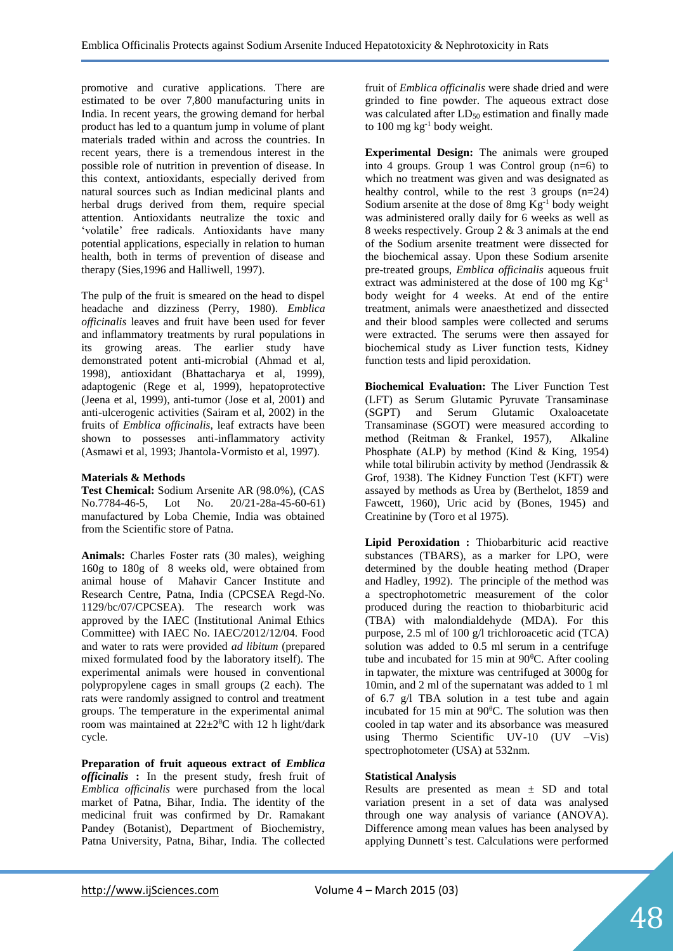promotive and curative applications. There are estimated to be over 7,800 manufacturing units in India. In recent years, the growing demand for herbal product has led to a quantum jump in volume of plant materials traded within and across the countries. In recent years, there is a tremendous interest in the possible role of nutrition in prevention of disease. In this context, antioxidants, especially derived from natural sources such as Indian medicinal plants and herbal drugs derived from them, require special attention. Antioxidants neutralize the toxic and 'volatile' free radicals. Antioxidants have many potential applications, especially in relation to human health, both in terms of prevention of disease and therapy (Sies,1996 and Halliwell, 1997).

The pulp of the fruit is smeared on the head to dispel headache and dizziness (Perry, 1980). *Emblica officinalis* leaves and fruit have been used for fever and inflammatory treatments by rural populations in its growing areas. The earlier study have demonstrated potent anti-microbial (Ahmad et al, 1998), antioxidant (Bhattacharya et al, 1999), adaptogenic (Rege et al, 1999), hepatoprotective (Jeena et al, 1999), anti-tumor (Jose et al, 2001) and anti-ulcerogenic activities (Sairam et al, 2002) in the fruits of *Emblica officinalis*, leaf extracts have been shown to possesses anti-inflammatory activity (Asmawi et al, 1993; Jhantola-Vormisto et al, 1997).

#### **Materials & Methods**

**Test Chemical:** Sodium Arsenite AR (98.0%), (CAS No.7784-46-5, Lot No. 20/21-28a-45-60-61) manufactured by Loba Chemie, India was obtained from the Scientific store of Patna.

**Animals:** Charles Foster rats (30 males), weighing 160g to 180g of 8 weeks old, were obtained from animal house of Mahavir Cancer Institute and Research Centre, Patna, India (CPCSEA Regd-No. 1129/bc/07/CPCSEA). The research work was approved by the IAEC (Institutional Animal Ethics Committee) with IAEC No. IAEC/2012/12/04. Food and water to rats were provided *ad libitum* (prepared mixed formulated food by the laboratory itself). The experimental animals were housed in conventional polypropylene cages in small groups (2 each). The rats were randomly assigned to control and treatment groups. The temperature in the experimental animal room was maintained at  $22 \pm 2^0C$  with 12 h light/dark cycle.

**Preparation of fruit aqueous extract of** *Emblica officinalis* **:** In the present study, fresh fruit of *Emblica officinalis* were purchased from the local market of Patna, Bihar, India. The identity of the medicinal fruit was confirmed by Dr. Ramakant Pandey (Botanist), Department of Biochemistry, Patna University, Patna, Bihar, India. The collected

fruit of *Emblica officinalis* were shade dried and were grinded to fine powder. The aqueous extract dose was calculated after  $LD_{50}$  estimation and finally made to 100 mg kg-1 body weight.

**Experimental Design:** The animals were grouped into 4 groups. Group 1 was Control group (n=6) to which no treatment was given and was designated as healthy control, while to the rest  $3$  groups (n=24) Sodium arsenite at the dose of 8mg Kg-1 body weight was administered orally daily for 6 weeks as well as 8 weeks respectively. Group 2 & 3 animals at the end of the Sodium arsenite treatment were dissected for the biochemical assay. Upon these Sodium arsenite pre-treated groups, *Emblica officinalis* aqueous fruit extract was administered at the dose of 100 mg Kg-1 body weight for 4 weeks. At end of the entire treatment, animals were anaesthetized and dissected and their blood samples were collected and serums were extracted. The serums were then assayed for biochemical study as Liver function tests, Kidney function tests and lipid peroxidation.

**Biochemical Evaluation:** The Liver Function Test (LFT) as Serum Glutamic Pyruvate Transaminase (SGPT) and Serum Glutamic Oxaloacetate Transaminase (SGOT) were measured according to method (Reitman & Frankel, 1957), Alkaline Phosphate (ALP) by method (Kind & King, 1954) while total bilirubin activity by method (Jendrassik & Grof, 1938). The Kidney Function Test (KFT) were assayed by methods as Urea by (Berthelot, 1859 and Fawcett, 1960), Uric acid by (Bones, 1945) and Creatinine by (Toro et al 1975).

**Lipid Peroxidation :** Thiobarbituric acid reactive substances (TBARS), as a marker for LPO, were determined by the double heating method (Draper and Hadley, 1992). The principle of the method was a spectrophotometric measurement of the color produced during the reaction to thiobarbituric acid (TBA) with malondialdehyde (MDA). For this purpose, 2.5 ml of 100 g/l trichloroacetic acid (TCA) solution was added to 0.5 ml serum in a centrifuge tube and incubated for 15 min at  $90^{\circ}$ C. After cooling in tapwater, the mixture was centrifuged at 3000g for 10min, and 2 ml of the supernatant was added to 1 ml of 6.7 g/l TBA solution in a test tube and again incubated for 15 min at  $90^{\circ}$ C. The solution was then cooled in tap water and its absorbance was measured using Thermo Scientific UV-10 (UV –Vis) spectrophotometer (USA) at 532nm.

## **Statistical Analysis**

Results are presented as mean  $\pm$  SD and total variation present in a set of data was analysed through one way analysis of variance (ANOVA). Difference among mean values has been analysed by applying Dunnett's test. Calculations were performed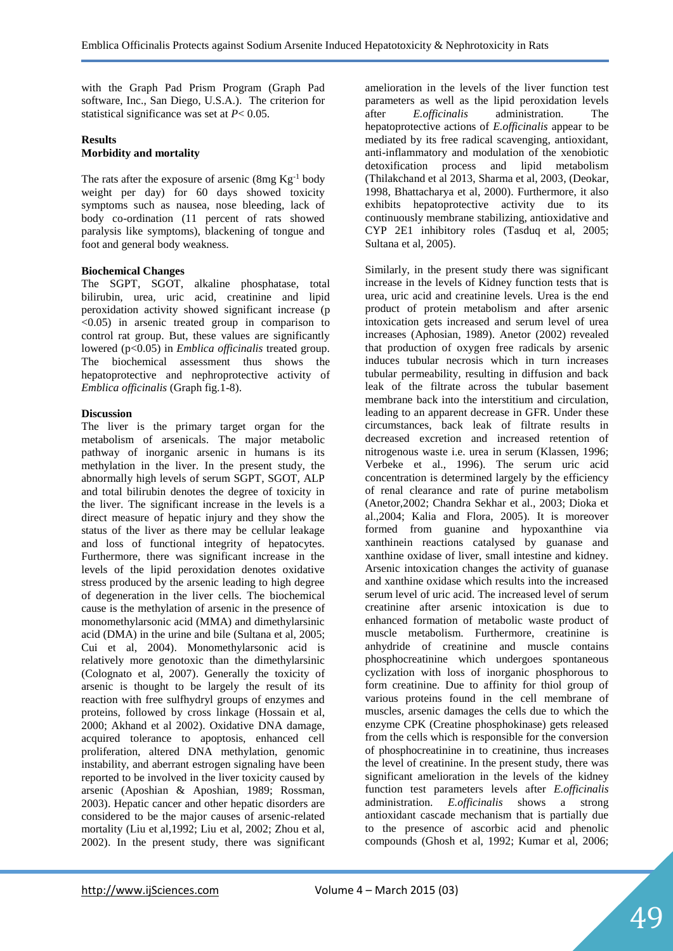with the Graph Pad Prism Program (Graph Pad software, Inc., San Diego, U.S.A.). The criterion for statistical significance was set at *P*< 0.05.

### **Results Morbidity and mortality**

The rats after the exposure of arsenic  $(8mg Kg^{-1}$  body weight per day) for 60 days showed toxicity symptoms such as nausea, nose bleeding, lack of body co-ordination (11 percent of rats showed paralysis like symptoms), blackening of tongue and foot and general body weakness.

#### **Biochemical Changes**

The SGPT, SGOT, alkaline phosphatase, total bilirubin, urea, uric acid, creatinine and lipid peroxidation activity showed significant increase (p  $\langle 0.05 \rangle$  in arsenic treated group in comparison to control rat group. But, these values are significantly lowered (p<0.05) in *Emblica officinalis* treated group. The biochemical assessment thus shows the hepatoprotective and nephroprotective activity of *Emblica officinalis* (Graph fig.1-8).

#### **Discussion**

The liver is the primary target organ for the metabolism of arsenicals. The major metabolic pathway of inorganic arsenic in humans is its methylation in the liver. In the present study, the abnormally high levels of serum SGPT, SGOT, ALP and total bilirubin denotes the degree of toxicity in the liver. The significant increase in the levels is a direct measure of hepatic injury and they show the status of the liver as there may be cellular leakage and loss of functional integrity of hepatocytes. Furthermore, there was significant increase in the levels of the lipid peroxidation denotes oxidative stress produced by the arsenic leading to high degree of degeneration in the liver cells. The biochemical cause is the methylation of arsenic in the presence of monomethylarsonic acid (MMA) and dimethylarsinic acid (DMA) in the urine and bile (Sultana et al, 2005; Cui et al, 2004). Monomethylarsonic acid is relatively more genotoxic than the dimethylarsinic (Colognato et al, 2007). Generally the toxicity of arsenic is thought to be largely the result of its reaction with free sulfhydryl groups of enzymes and proteins, followed by cross linkage (Hossain et al, 2000; Akhand et al 2002). Oxidative DNA damage, acquired tolerance to apoptosis, enhanced cell proliferation, altered DNA methylation, genomic instability, and aberrant estrogen signaling have been reported to be involved in the liver toxicity caused by arsenic (Aposhian & Aposhian, 1989; Rossman, 2003). Hepatic cancer and other hepatic disorders are considered to be the major causes of arsenic-related mortality (Liu et al,1992; Liu et al, 2002; Zhou et al, 2002). In the present study, there was significant amelioration in the levels of the liver function test parameters as well as the lipid peroxidation levels after *E.officinalis* administration. The hepatoprotective actions of *E.officinalis* appear to be mediated by its free radical scavenging, antioxidant, anti-inflammatory and modulation of the xenobiotic detoxification process and lipid metabolism (Thilakchand et al 2013, Sharma et al, 2003, (Deokar, 1998, Bhattacharya et al, 2000). Furthermore, it also exhibits hepatoprotective activity due to its continuously membrane stabilizing, antioxidative and CYP 2E1 inhibitory roles (Tasduq et al, 2005; Sultana et al, 2005).

Similarly, in the present study there was significant increase in the levels of Kidney function tests that is urea, uric acid and creatinine levels. Urea is the end product of protein metabolism and after arsenic intoxication gets increased and serum level of urea increases (Aphosian, 1989). Anetor (2002) revealed that production of oxygen free radicals by arsenic induces tubular necrosis which in turn increases tubular permeability, resulting in diffusion and back leak of the filtrate across the tubular basement membrane back into the interstitium and circulation, leading to an apparent decrease in GFR. Under these circumstances, back leak of filtrate results in decreased excretion and increased retention of nitrogenous waste i.e. urea in serum (Klassen, 1996; Verbeke et al., 1996). The serum uric acid concentration is determined largely by the efficiency of renal clearance and rate of purine metabolism (Anetor,2002; Chandra Sekhar et al., 2003; Dioka et al.,2004; Kalia and Flora, 2005). It is moreover formed from guanine and hypoxanthine via xanthinein reactions catalysed by guanase and xanthine oxidase of liver, small intestine and kidney. Arsenic intoxication changes the activity of guanase and xanthine oxidase which results into the increased serum level of uric acid. The increased level of serum creatinine after arsenic intoxication is due to enhanced formation of metabolic waste product of muscle metabolism. Furthermore, creatinine is anhydride of creatinine and muscle contains phosphocreatinine which undergoes spontaneous cyclization with loss of inorganic phosphorous to form creatinine. Due to affinity for thiol group of various proteins found in the cell membrane of muscles, arsenic damages the cells due to which the enzyme CPK (Creatine phosphokinase) gets released from the cells which is responsible for the conversion of phosphocreatinine in to creatinine, thus increases the level of creatinine. In the present study, there was significant amelioration in the levels of the kidney function test parameters levels after *E.officinalis*  administration. *E.officinalis* shows a strong antioxidant cascade mechanism that is partially due to the presence of ascorbic acid and phenolic compounds (Ghosh et al, 1992; Kumar et al, 2006;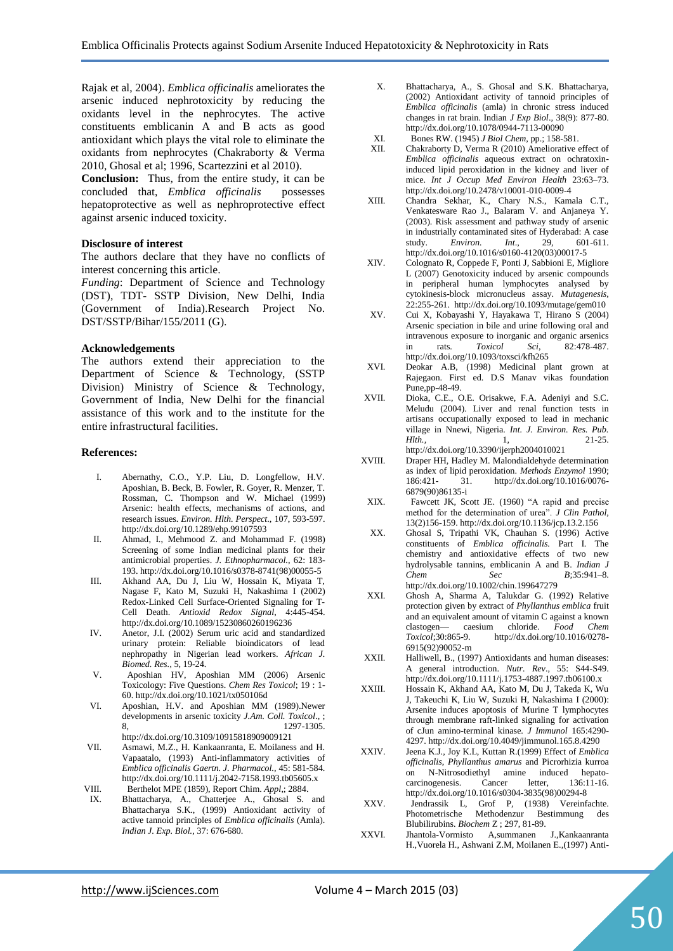Rajak et al, 2004). *Emblica officinalis* ameliorates the arsenic induced nephrotoxicity by reducing the oxidants level in the nephrocytes. The active constituents emblicanin A and B acts as good antioxidant which plays the vital role to eliminate the oxidants from nephrocytes (Chakraborty & Verma 2010, Ghosal et al; 1996, Scartezzini et al 2010).

**Conclusion:** Thus, from the entire study, it can be concluded that, *Emblica officinalis* possesses hepatoprotective as well as nephroprotective effect against arsenic induced toxicity.

#### **Disclosure of interest**

The authors declare that they have no conflicts of interest concerning this article.

*Funding*: Department of Science and Technology (DST), TDT- SSTP Division, New Delhi, India (Government of India).Research Project No. DST/SSTP/Bihar/155/2011 (G).

#### **Acknowledgements**

The authors extend their appreciation to the Department of Science & Technology, (SSTP Division) Ministry of Science & Technology, Government of India, New Delhi for the financial assistance of this work and to the institute for the entire infrastructural facilities.

#### **References:**

- I. Abernathy, C.O., Y.P. Liu, D. Longfellow, H.V. Aposhian, B. Beck, B. Fowler, R. Goyer, R. Menzer, T. Rossman, C. Thompson and W. Michael (1999) Arsenic: health effects, mechanisms of actions, and research issues. *Environ. Hlth. Perspect.,* 107, 593-597. http://dx.doi.org/10.1289/ehp.99107593
- II. Ahmad, I., Mehmood Z. and Mohammad F. (1998) Screening of some Indian medicinal plants for their antimicrobial properties. *J. Ethnopharmacol.,* 62: 183- 193. http://dx.doi.org/10.1016/s0378-8741(98)00055-5
- III. Akhand AA, Du J, Liu W, Hossain K, Miyata T, Nagase F, Kato M, Suzuki H, Nakashima I (2002) Redox-Linked Cell Surface-Oriented Signaling for T-Cell Death. *Antioxid Redox Signal*, 4:445-454. http://dx.doi.org/10.1089/15230860260196236
- IV. Anetor, J.I. (2002) Serum uric acid and standardized urinary protein: Reliable bioindicators of lead nephropathy in Nigerian lead workers. *African J. Biomed. Res.,* 5, 19-24.
- V. Aposhian HV, Aposhian MM (2006) Arsenic Toxicology: Five Questions. *Chem Res Toxicol*; 19 : 1- 60. http://dx.doi.org/10.1021/tx050106d
- VI. Aposhian, H.V. and Aposhian MM (1989).Newer developments in arsenic toxicity *J.Am. Coll. Toxicol*., ; 8, 1297-1305. http://dx.doi.org/10.3109/10915818909009121
- VII. Asmawi, M.Z., H. Kankaanranta, E. Moilaness and H. Vapaatalo, (1993) Anti-inflammatory activities of *Emblica officinalis Gaertn. J. Pharmacol.,* 45: 581-584. http://dx.doi.org/10.1111/j.2042-7158.1993.tb05605.x
- VIII. Berthelot MPE (1859), Report Chim. *Appl*,; 2884. IX. Bhattacharya, A., Chatterjee A., Ghosal S. and Bhattacharya S.K., (1999) Antioxidant activity of active tannoid principles of *Emblica officinalis* (Amla). *Indian J. Exp. Biol.,* 37: 676-680.
- X. Bhattacharya, A., S. Ghosal and S.K. Bhattacharya, (2002) Antioxidant activity of tannoid principles of *Emblica officinalis* (amla) in chronic stress induced changes in rat brain. Indian *J Exp Biol*., 38(9): 877-80. http://dx.doi.org/10.1078/0944-7113-00090
- XI. Bones RW. (1945) *J Biol Chem*, pp.; 158-581.
- Chakraborty D, Verma R (2010) Ameliorative effect of *Emblica officinalis* aqueous extract on ochratoxininduced lipid peroxidation in the kidney and liver of mice. *Int J Occup Med Environ Health* 23:63–73. http://dx.doi.org/10.2478/v10001-010-0009-4
- XIII. Chandra Sekhar, K., Chary N.S., Kamala C.T., Venkatesware Rao J., Balaram V. and Anjaneya Y. (2003). Risk assessment and pathway study of arsenic in industrially contaminated sites of Hyderabad: A case study. *Environ. Int*., 29, 601-611. http://dx.doi.org/10.1016/s0160-4120(03)00017-5
- XIV. Colognato R, Coppede F, Ponti J, Sabbioni E, Migliore L (2007) Genotoxicity induced by arsenic compounds in peripheral human lymphocytes analysed by cytokinesis-block micronucleus assay. *Mutagenesis*,  $22:255-261$ . http://dx.doi.org/10.1093/mutage/gem010
- XV. Cui X, Kobayashi Y, Hayakawa T, Hirano S (2004) Arsenic speciation in bile and urine following oral and intravenous exposure to inorganic and organic arsenics in rats. *Toxicol Sci*, 82:478-487. http://dx.doi.org/10.1093/toxsci/kfh265
- XVI. Deokar A.B, (1998) Medicinal plant grown at Rajegaon. First ed. D.S Manav vikas foundation Pune,pp-48-49.
- XVII. Dioka, C.E., O.E. Orisakwe, F.A. Adeniyi and S.C. Meludu (2004). Liver and renal function tests in artisans occupationally exposed to lead in mechanic village in Nnewi, Nigeria*. Int. J. Environ. Res. Pub. Hlth.*, 21-25. http://dx.doi.org/10.3390/ijerph2004010021
- XVIII. Draper HH, Hadley M. Malondialdehyde determination as index of lipid peroxidation. *Methods Enzymol* 1990; 186:421- 31. http://dx.doi.org/10.1016/0076- 6879(90)86135-i
- XIX. Fawcett JK, Scott JE. (1960) "A rapid and precise method for the determination of urea". *J Clin Pathol*, 13(2)156-159. http://dx.doi.org/10.1136/jcp.13.2.156
- XX. Ghosal S, Tripathi VK, Chauhan S. (1996) Active constituents of *Emblica officinalis.* Part I. The chemistry and antioxidative effects of two new hydrolysable tannins, emblicanin A and B. *Indian J Chem Sec B*;35:941–8. http://dx.doi.org/10.1002/chin.199647279
- XXI. Ghosh A, Sharma A, Talukdar G. (1992) Relative protection given by extract of *Phyllanthus emblica* fruit and an equivalent amount of vitamin C against a known clastogen— caesium chloride. *Food Chem Toxicol*;30:865-9. http://dx.doi.org/10.1016/0278- 6915(92)90052-m
- XXII. Halliwell, B., (1997) Antioxidants and human diseases: A general introduction. *Nutr. Rev*., 55: S44-S49. http://dx.doi.org/10.1111/j.1753-4887.1997.tb06100.x
- XXIII. Hossain K, Akhand AA, Kato M, Du J, Takeda K, Wu J, Takeuchi K, Liu W, Suzuki H, Nakashima I (2000): Arsenite induces apoptosis of Murine T lymphocytes through membrane raft-linked signaling for activation of cJun amino-terminal kinase. *J Immunol* 165:4290- 4297. http://dx.doi.org/10.4049/jimmunol.165.8.4290
- XXIV. Jeena K.J., Joy K.L, Kuttan R.(1999) Effect of *Emblica officinalis*, *Phyllanthus amarus* and Picrorhizia kurroa on N-Nitrosodiethyl amine induced hepato-<br>carcinogenesis. Cancer letter, 136:11-16. carcinogenesis. Cancer letter, http://dx.doi.org/10.1016/s0304-3835(98)00294-8
- XXV. Jendrassik L, Grof P, (1938) Vereinfachte. Photometrische Methodenzur Bestimmung des Blubilirubins. *Biochem* Z ; 297, 81-89.
- XXVI. Jhantola-Vormisto A,summanen J.,Kankaanranta H.,Vuorela H., Ashwani Z.M, Moilanen E.,(1997) Anti-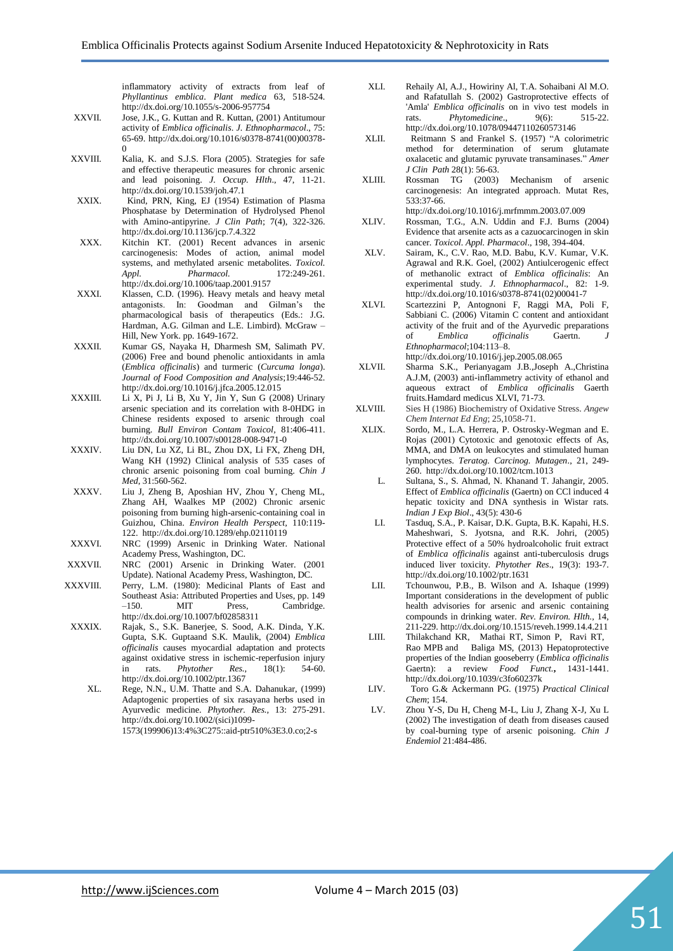inflammatory activity of extracts from leaf of *Phyllantinus emblica*. *Plant medica* 63, 518-524. http://dx.doi.org/10.1055/s-2006-957754

- XXVII. Jose, J.K., G. Kuttan and R. Kuttan, (2001) Antitumour activity of *Emblica officinalis*. *J. Ethnopharmacol*., 75: 65-69. http://dx.doi.org/10.1016/s0378-8741(00)00378-  $\boldsymbol{0}$
- XXVIII. Kalia, K. and S.J.S. Flora (2005). Strategies for safe and effective therapeutic measures for chronic arsenic and lead poisoning. *J. Occup. Hlth*., 47, 11-21. http://dx.doi.org/10.1539/joh.47.1
- XXIX. Kind, PRN, King, EJ (1954) Estimation of Plasma Phosphatase by Determination of Hydrolysed Phenol with Amino-antipyrine. *J Clin Path*; 7(4), 322-326. http://dx.doi.org/10.1136/jcp.7.4.322
- XXX. Kitchin KT. (2001) Recent advances in arsenic carcinogenesis: Modes of action, animal model systems, and methylated arsenic metabolites. *Toxicol. Appl. Pharmacol.* 172:249-261. http://dx.doi.org/10.1006/taap.2001.9157
- XXXI. Klassen, C.D. (1996). Heavy metals and heavy metal antagonists. In: Goodman and Gilman's the pharmacological basis of therapeutics (Eds.: J.G. Hardman, A.G. Gilman and L.E. Limbird). McGraw – Hill, New York. pp. 1649-1672.
- XXXII. Kumar GS, Nayaka H, Dharmesh SM, Salimath PV. (2006) Free and bound phenolic antioxidants in amla (*Emblica officinalis*) and turmeric (*Curcuma longa*). *Journal of Food Composition and Analysis*;19:446-52. http://dx.doi.org/10.1016/j.jfca.2005.12.015
- XXXIII. Li X, Pi J, Li B, Xu Y, Jin Y, Sun G (2008) Urinary arsenic speciation and its correlation with 8-0HDG in Chinese residents exposed to arsenic through coal burning. *Bull Environ Contam Toxicol,* 81:406-411. http://dx.doi.org/10.1007/s00128-008-9471-0
- XXXIV. Liu DN, Lu XZ, Li BL, Zhou DX, Li FX, Zheng DH, Wang KH (1992) Clinical analysis of 535 cases of chronic arsenic poisoning from coal burning. *Chin J Med*, 31:560-562.
- XXXV. Liu J, Zheng B, Aposhian HV, Zhou Y, Cheng ML, Zhang AH, Waalkes MP (2002) Chronic arsenic poisoning from burning high-arsenic-containing coal in Guizhou, China. *Environ Health Perspect,* 110:119- 122. http://dx.doi.org/10.1289/ehp.02110119
- XXXVI. NRC (1999) Arsenic in Drinking Water. National Academy Press, Washington, DC.
- XXXVII. NRC (2001) Arsenic in Drinking Water. (2001 Update). National Academy Press, Washington, DC.
- XXXVIII. Perry, L.M. (1980): Medicinal Plants of East and Southeast Asia: Attributed Properties and Uses, pp. 149<br>-150. MIT Press. Cambridge. –150. MIT Press, Cambridge. http://dx.doi.org/10.1007/bf02858311
- XXXIX. Rajak, S., S.K. Banerjee, S. Sood, A.K. Dinda, Y.K. Gupta, S.K. Guptaand S.K. Maulik, (2004) *Emblica officinalis* causes myocardial adaptation and protects against oxidative stress in ischemic-reperfusion injury in rats. *Phytother Res.,* 18(1): 54-60. http://dx.doi.org/10.1002/ptr.1367
	- XL. Rege, N.N., U.M. Thatte and S.A. Dahanukar, (1999) Adaptogenic properties of six rasayana herbs used in Ayurvedic medicine. *Phytother. Res.,* 13: 275-291. http://dx.doi.org/10.1002/(sici)1099- 1573(199906)13:4%3C275::aid-ptr510%3E3.0.co;2-s
- XLI. Rehaily Al, A.J., Howiriny Al, T.A. Sohaibani Al M.O. and Rafatullah S. (2002) Gastroprotective effects of 'Amla' *Emblica officinalis* on in vivo test models in rats. Phytomedicine., 9(6): 515-22. rats. *Phytomedicine.*, http://dx.doi.org/10.1078/09447110260573146
- XLII. Reitmann S and Frankel S. (1957) "A colorimetric method for determination of serum glutamate oxalacetic and glutamic pyruvate transaminases." *Amer J Clin Path* 28(1): 56-63.
- XLIII. Rossman TG (2003) Mechanism of arsenic carcinogenesis: An integrated approach. Mutat Res, 533:37-66.

http://dx.doi.org/10.1016/j.mrfmmm.2003.07.009

- XLIV. Rossman, T.G., A.N. Uddin and F.J. Burns (2004) Evidence that arsenite acts as a cazuocarcinogen in skin cancer. *Toxicol. Appl. Pharmacol*., 198, 394-404.
- XLV. Sairam, K., C.V. Rao, M.D. Babu, K.V. Kumar, V.K. Agrawal and R.K. Goel, (2002) Antiulcerogenic effect of methanolic extract of *Emblica officinalis*: An experimental study. *J. Ethnopharmacol*., 82: 1-9. http://dx.doi.org/10.1016/s0378-8741(02)00041-7
- XLVI. Scartezzini P, Antognoni F, Raggi MA, Poli F, Sabbiani C. (2006) Vitamin C content and antioxidant activity of the fruit and of the Ayurvedic preparations of *Emblica* officinalis Gaertn. *Ethnopharmacol*;104:113–8. http://dx.doi.org/10.1016/j.jep.2005.08.065
- XLVII. Sharma S.K., Perianyagam J.B.,Joseph A.,Christina A.J.M, (2003) anti-inflammetry activity of ethanol and aqueous extract of *Emblica officinalis* Gaerth fruits.Hamdard medicus XLVI, 71-73.
- XLVIII. Sies H (1986) Biochemistry of Oxidative Stress. *Angew Chem Internat Ed Eng*; 25,1058-71.
- XLIX. Sordo, M., L.A. Herrera, P. Ostrosky-Wegman and E. Rojas (2001) Cytotoxic and genotoxic effects of As, MMA, and DMA on leukocytes and stimulated human lymphocytes. *Teratog. Carcinog. Mutagen*., 21, 249- 260. http://dx.doi.org/10.1002/tcm.1013
	- L. Sultana, S., S. Ahmad, N. Khanand T. Jahangir, 2005. Effect of *Emblica officinalis* (Gaertn) on CCl induced 4 hepatic toxicity and DNA synthesis in Wistar rats. *Indian J Exp Biol*., 43(5): 430-6
	- LI. Tasduq, S.A., P. Kaisar, D.K. Gupta, B.K. Kapahi, H.S. Maheshwari, S. Jyotsna, and R.K. Johri, (2005) Protective effect of a 50% hydroalcoholic fruit extract of *Emblica officinalis* against anti-tuberculosis drugs induced liver toxicity. *Phytother Res*., 19(3): 193-7. http://dx.doi.org/10.1002/ptr.1631
	- LII. Tchounwou, P.B., B. Wilson and A. Ishaque (1999) Important considerations in the development of public health advisories for arsenic and arsenic containing compounds in drinking water. *Rev. Environ. Hlth.,* 14, 211-229. http://dx.doi.org/10.1515/reveh.1999.14.4.211
	- LIII. [Thilakchand](http://pubs.rsc.org/en/results?searchtext=Author%3AKaradka%20Ramdas%20Thilakchand) KR, [Mathai](http://pubs.rsc.org/en/results?searchtext=Author%3ARashmi%20Teresa%20Mathai) RT, [Simon](http://pubs.rsc.org/en/results?searchtext=Author%3APaul%20Simon) P, [Ravi](http://pubs.rsc.org/en/results?searchtext=Author%3ARithin%20T.%20Ravi) RT, [Rao](http://pubs.rsc.org/en/results?searchtext=Author%3AManjeshwar%20Poonam%20Baliga-Rao) MPB and [Baliga](http://pubs.rsc.org/en/results?searchtext=Author%3AManjeshwar%20Shrinath%20Baliga) MS, (2013) Hepatoprotective properties of the Indian gooseberry (*Emblica officinalis* Gaertn): a review *Food Funct.***,** 1431-1441. http://dx.doi.org/10.1039/c3fo60237k
- LIV. Toro G.& Ackermann PG. (1975) *Practical Clinical Chem*; 154.
- LV. Zhou Y-S, Du H, Cheng M-L, Liu J, Zhang X-J, Xu L (2002) The investigation of death from diseases caused by coal-burning type of arsenic poisoning. *Chin J Endemiol* 21:484-486.

51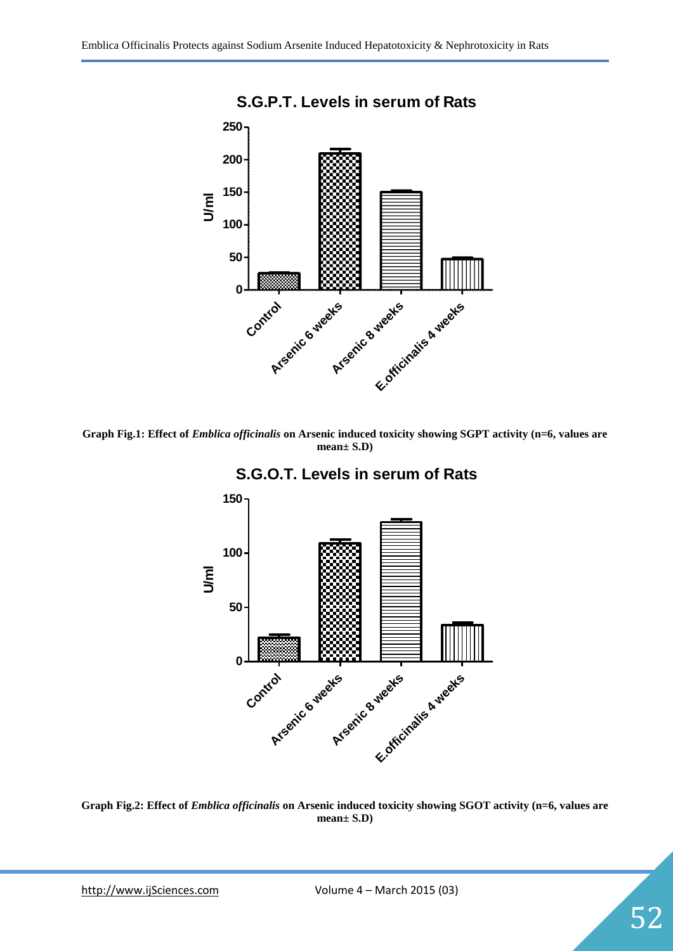

**Graph Fig.1: Effect of** *Emblica officinalis* **on Arsenic induced toxicity showing SGPT activity (n=6, values are mean± S.D)**





**Graph Fig.2: Effect of** *Emblica officinalis* **on Arsenic induced toxicity showing SGOT activity (n=6, values are mean± S.D)**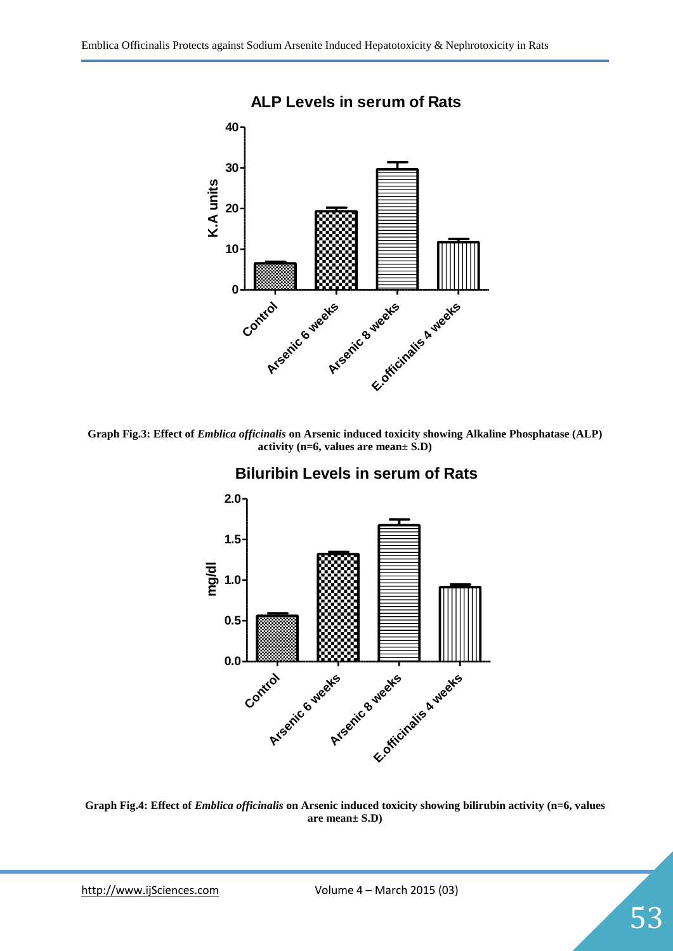

**Graph Fig.3: Effect of** *Emblica officinalis* **on Arsenic induced toxicity showing Alkaline Phosphatase (ALP) activity (n=6, values are mean± S.D)**



# **Biluribin Levels in serum of Rats**

**Graph Fig.4: Effect of** *Emblica officinalis* **on Arsenic induced toxicity showing bilirubin activity (n=6, values are mean± S.D)**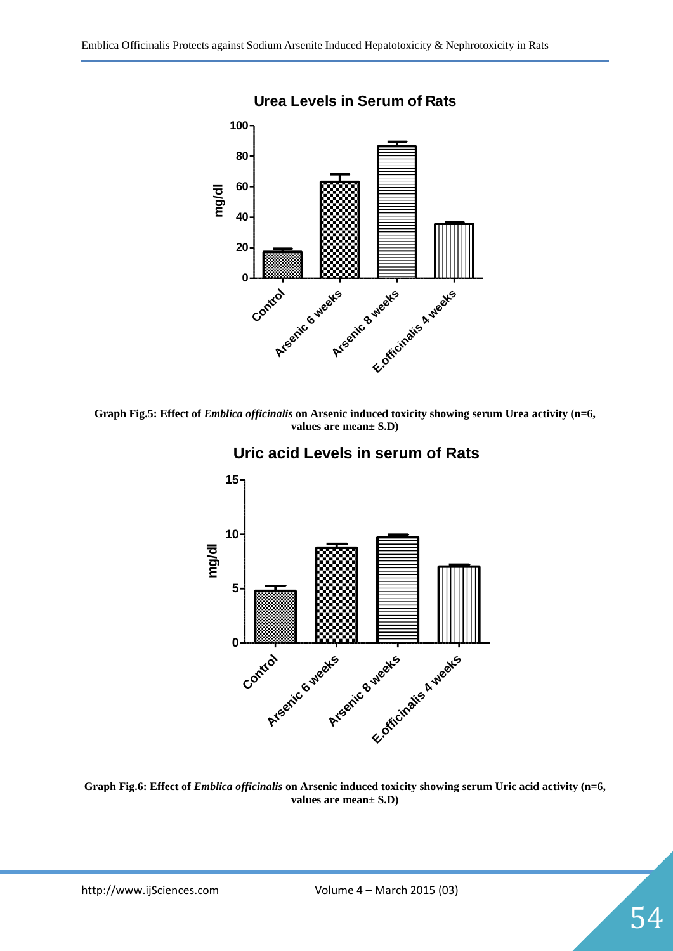

**Graph Fig.5: Effect of** *Emblica officinalis* **on Arsenic induced toxicity showing serum Urea activity (n=6, values are mean± S.D)**



**Uric acid Levels in serum of Rats**

**Graph Fig.6: Effect of** *Emblica officinalis* **on Arsenic induced toxicity showing serum Uric acid activity (n=6, values are mean± S.D)**

54